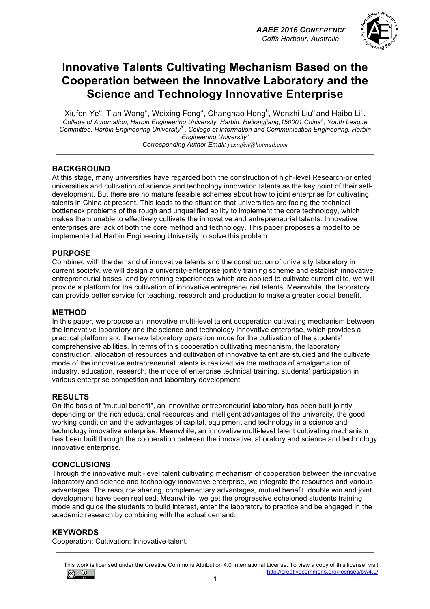

## **Innovative Talents Cultivating Mechanism Based on the Cooperation between the Innovative Laboratory and the Science and Technology Innovative Enterprise**

Xiufen Ye<sup>a</sup>, Tian Wang<sup>a</sup>, Weixing Feng<sup>a</sup>, Changhao Hong<sup>b</sup>, Wenzhi Liu<sup>c</sup> and Haibo Li<sup>c</sup>. *College of Automation, Harbin Engineering University, Harbin, Heilongjiang,150001,China<sup>a</sup> , Youth League Committee, Harbin Engineering University<sup>b</sup> , College of Information and Communication Engineering, Harbin Engineering University<sup>c</sup> Corresponding Author Email: yexiufen@hotmail.com*

#### **BACKGROUND**

At this stage, many universities have regarded both the construction of high-level Research-oriented universities and cultivation of science and technology innovation talents as the key point of their selfdevelopment. But there are no mature feasible schemes about how to joint enterprise for cultivating talents in China at present. This leads to the situation that universities are facing the technical bottleneck problems of the rough and unqualified ability to implement the core technology, which makes them unable to effectively cultivate the innovative and entrepreneurial talents. Innovative enterprises are lack of both the core method and technology. This paper proposes a model to be implemented at Harbin Engineering University to solve this problem.

#### **PURPOSE**

Combined with the demand of innovative talents and the construction of university laboratory in current society, we will design a university-enterprise jointly training scheme and establish innovative entrepreneurial bases, and by refining experiences which are applied to cultivate current elite, we will provide a platform for the cultivation of innovative entrepreneurial talents. Meanwhile, the laboratory can provide better service for teaching, research and production to make a greater social benefit.

#### **METHOD**

In this paper, we propose an innovative multi-level talent cooperation cultivating mechanism between the innovative laboratory and the science and technology innovative enterprise, which provides a practical platform and the new laboratory operation mode for the cultivation of the students' comprehensive abilities. In terms of this cooperation cultivating mechanism, the laboratory construction, allocation of resources and cultivation of innovative talent are studied and the cultivate mode of the innovative entrepreneurial talents is realized via the methods of amalgamation of industry, education, research, the mode of enterprise technical training, students' participation in various enterprise competition and laboratory development.

#### **RESULTS**

On the basis of "mutual benefit", an innovative entrepreneurial laboratory has been built jointly depending on the rich educational resources and intelligent advantages of the university, the good working condition and the advantages of capital, equipment and technology in a science and technology innovative enterprise. Meanwhile, an innovative multi-level talent cultivating mechanism has been built through the cooperation between the innovative laboratory and science and technology innovative enterprise.

#### **CONCLUSIONS**

Through the innovative multi-level talent cultivating mechanism of cooperation between the innovative laboratory and science and technology innovative enterprise, we integrate the resources and various advantages. The resource sharing, complementary advantages, mutual benefit, double win and joint development have been realised. Meanwhile, we get the progressive echeloned students training mode and guide the students to build interest, enter the laboratory to practice and be engaged in the academic research by combining with the actual demand.

#### **KEYWORDS**

Cooperation; Cultivation; Innovative talent.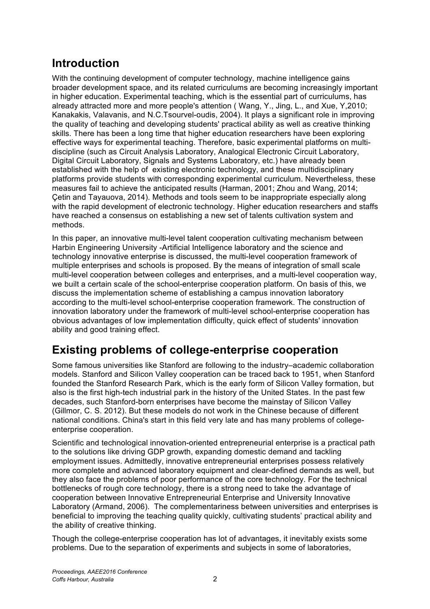# **Introduction**

With the continuing development of computer technology, machine intelligence gains broader development space, and its related curriculums are becoming increasingly important in higher education. Experimental teaching, which is the essential part of curriculums, has already attracted more and more people's attention ( Wang, Y., Jing, L., and Xue, Y,2010; Kanakakis, Valavanis, and N.C.Tsourvel-oudis, 2004). It plays a significant role in improving the quality of teaching and developing students' practical ability as well as creative thinking skills. There has been a long time that higher education researchers have been exploring effective ways for experimental teaching. Therefore, basic experimental platforms on multidiscipline (such as Circuit Analysis Laboratory, Analogical Electronic Circuit Laboratory, Digital Circuit Laboratory, Signals and Systems Laboratory, etc.) have already been established with the help of existing electronic technology, and these multidisciplinary platforms provide students with corresponding experimental curriculum. Nevertheless, these measures fail to achieve the anticipated results (Harman, 2001; Zhou and Wang, 2014; Çetin and Tayauova, 2014). Methods and tools seem to be inappropriate especially along with the rapid development of electronic technology. Higher education researchers and staffs have reached a consensus on establishing a new set of talents cultivation system and methods.

In this paper, an innovative multi-level talent cooperation cultivating mechanism between Harbin Engineering University -Artificial Intelligence laboratory and the science and technology innovative enterprise is discussed, the multi-level cooperation framework of multiple enterprises and schools is proposed. By the means of integration of small scale multi-level cooperation between colleges and enterprises, and a multi-level cooperation way, we built a certain scale of the school-enterprise cooperation platform. On basis of this, we discuss the implementation scheme of establishing a campus innovation laboratory according to the multi-level school-enterprise cooperation framework. The construction of innovation laboratory under the framework of multi-level school-enterprise cooperation has obvious advantages of low implementation difficulty, quick effect of students' innovation ability and good training effect.

# **Existing problems of college-enterprise cooperation**

Some famous universities like Stanford are following to the industry–academic collaboration models. Stanford and Silicon Valley cooperation can be traced back to 1951, when Stanford founded the Stanford Research Park, which is the early form of Silicon Valley formation, but also is the first high-tech industrial park in the history of the United States. In the past few decades, such Stanford-born enterprises have become the mainstay of Silicon Valley (Gillmor, C. S. 2012). But these models do not work in the Chinese because of different national conditions. China's start in this field very late and has many problems of collegeenterprise cooperation.

Scientific and technological innovation-oriented entrepreneurial enterprise is a practical path to the solutions like driving GDP growth, expanding domestic demand and tackling employment issues. Admittedly, innovative entrepreneurial enterprises possess relatively more complete and advanced laboratory equipment and clear-defined demands as well, but they also face the problems of poor performance of the core technology. For the technical bottlenecks of rough core technology, there is a strong need to take the advantage of cooperation between Innovative Entrepreneurial Enterprise and University Innovative Laboratory (Armand, 2006). The complementariness between universities and enterprises is beneficial to improving the teaching quality quickly, cultivating students' practical ability and the ability of creative thinking.

Though the college-enterprise cooperation has lot of advantages, it inevitably exists some problems. Due to the separation of experiments and subjects in some of laboratories,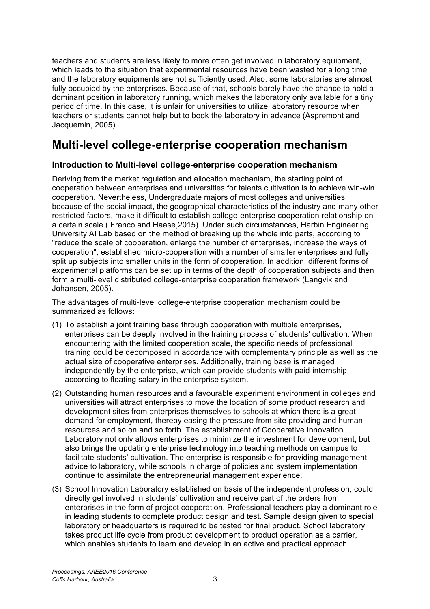teachers and students are less likely to more often get involved in laboratory equipment, which leads to the situation that experimental resources have been wasted for a long time and the laboratory equipments are not sufficiently used. Also, some laboratories are almost fully occupied by the enterprises. Because of that, schools barely have the chance to hold a dominant position in laboratory running, which makes the laboratory only available for a tiny period of time. In this case, it is unfair for universities to utilize laboratory resource when teachers or students cannot help but to book the laboratory in advance (Aspremont and Jacquemin, 2005).

## **Multi-level college-enterprise cooperation mechanism**

### **Introduction to Multi-level college-enterprise cooperation mechanism**

Deriving from the market regulation and allocation mechanism, the starting point of cooperation between enterprises and universities for talents cultivation is to achieve win-win cooperation. Nevertheless, Undergraduate majors of most colleges and universities, because of the social impact, the geographical characteristics of the industry and many other restricted factors, make it difficult to establish college-enterprise cooperation relationship on a certain scale ( Franco and Haase,2015). Under such circumstances, Harbin Engineering University AI Lab based on the method of breaking up the whole into parts, according to "reduce the scale of cooperation, enlarge the number of enterprises, increase the ways of cooperation", established micro-cooperation with a number of smaller enterprises and fully split up subjects into smaller units in the form of cooperation. In addition, different forms of experimental platforms can be set up in terms of the depth of cooperation subjects and then form a multi-level distributed college-enterprise cooperation framework (Langvik and Johansen, 2005).

The advantages of multi-level college-enterprise cooperation mechanism could be summarized as follows:

- (1) To establish a joint training base through cooperation with multiple enterprises, enterprises can be deeply involved in the training process of students' cultivation. When encountering with the limited cooperation scale, the specific needs of professional training could be decomposed in accordance with complementary principle as well as the actual size of cooperative enterprises. Additionally, training base is managed independently by the enterprise, which can provide students with paid-internship according to floating salary in the enterprise system.
- (2) Outstanding human resources and a favourable experiment environment in colleges and universities will attract enterprises to move the location of some product research and development sites from enterprises themselves to schools at which there is a great demand for employment, thereby easing the pressure from site providing and human resources and so on and so forth. The establishment of Cooperative Innovation Laboratory not only allows enterprises to minimize the investment for development, but also brings the updating enterprise technology into teaching methods on campus to facilitate students' cultivation. The enterprise is responsible for providing management advice to laboratory, while schools in charge of policies and system implementation continue to assimilate the entrepreneurial management experience.
- (3) School Innovation Laboratory established on basis of the independent profession, could directly get involved in students' cultivation and receive part of the orders from enterprises in the form of project cooperation. Professional teachers play a dominant role in leading students to complete product design and test. Sample design given to special laboratory or headquarters is required to be tested for final product. School laboratory takes product life cycle from product development to product operation as a carrier, which enables students to learn and develop in an active and practical approach.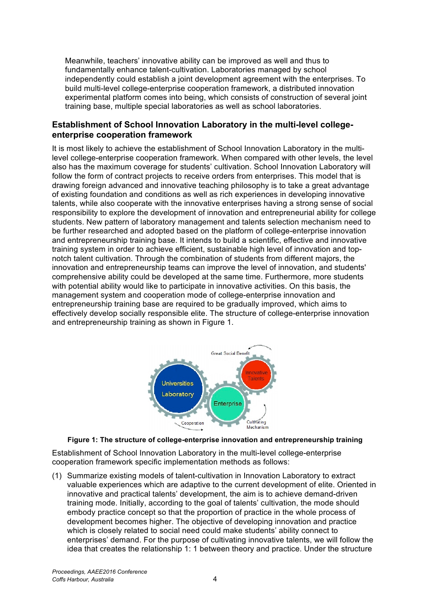Meanwhile, teachers' innovative ability can be improved as well and thus to fundamentally enhance talent-cultivation. Laboratories managed by school independently could establish a joint development agreement with the enterprises. To build multi-level college-enterprise cooperation framework, a distributed innovation experimental platform comes into being, which consists of construction of several joint training base, multiple special laboratories as well as school laboratories.

### **Establishment of School Innovation Laboratory in the multi-level collegeenterprise cooperation framework**

It is most likely to achieve the establishment of School Innovation Laboratory in the multilevel college-enterprise cooperation framework. When compared with other levels, the level also has the maximum coverage for students' cultivation. School Innovation Laboratory will follow the form of contract projects to receive orders from enterprises. This model that is drawing foreign advanced and innovative teaching philosophy is to take a great advantage of existing foundation and conditions as well as rich experiences in developing innovative talents, while also cooperate with the innovative enterprises having a strong sense of social responsibility to explore the development of innovation and entrepreneurial ability for college students. New pattern of laboratory management and talents selection mechanism need to be further researched and adopted based on the platform of college-enterprise innovation and entrepreneurship training base. It intends to build a scientific, effective and innovative training system in order to achieve efficient, sustainable high level of innovation and topnotch talent cultivation. Through the combination of students from different majors, the innovation and entrepreneurship teams can improve the level of innovation, and students' comprehensive ability could be developed at the same time. Furthermore, more students with potential ability would like to participate in innovative activities. On this basis, the management system and cooperation mode of college-enterprise innovation and entrepreneurship training base are required to be gradually improved, which aims to effectively develop socially responsible elite. The structure of college-enterprise innovation and entrepreneurship training as shown in Figure 1.



#### **Figure 1: The structure of college-enterprise innovation and entrepreneurship training**

Establishment of School Innovation Laboratory in the multi-level college-enterprise cooperation framework specific implementation methods as follows:

(1) Summarize existing models of talent-cultivation in Innovation Laboratory to extract valuable experiences which are adaptive to the current development of elite. Oriented in innovative and practical talents' development, the aim is to achieve demand-driven training mode. Initially, according to the goal of talents' cultivation, the mode should embody practice concept so that the proportion of practice in the whole process of development becomes higher. The objective of developing innovation and practice which is closely related to social need could make students' ability connect to enterprises' demand. For the purpose of cultivating innovative talents, we will follow the idea that creates the relationship 1: 1 between theory and practice. Under the structure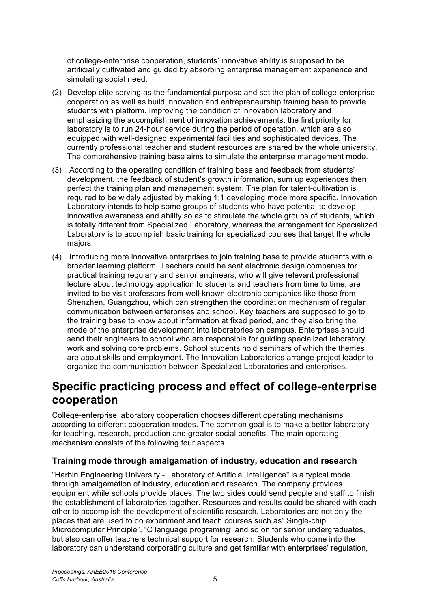of college-enterprise cooperation, students' innovative ability is supposed to be artificially cultivated and guided by absorbing enterprise management experience and simulating social need.

- (2) Develop elite serving as the fundamental purpose and set the plan of college-enterprise cooperation as well as build innovation and entrepreneurship training base to provide students with platform. Improving the condition of innovation laboratory and emphasizing the accomplishment of innovation achievements, the first priority for laboratory is to run 24-hour service during the period of operation, which are also equipped with well-designed experimental facilities and sophisticated devices. The currently professional teacher and student resources are shared by the whole university. The comprehensive training base aims to simulate the enterprise management mode.
- (3) According to the operating condition of training base and feedback from students' development, the feedback of student's growth information, sum up experiences then perfect the training plan and management system. The plan for talent-cultivation is required to be widely adjusted by making 1:1 developing mode more specific. Innovation Laboratory intends to help some groups of students who have potential to develop innovative awareness and ability so as to stimulate the whole groups of students, which is totally different from Specialized Laboratory, whereas the arrangement for Specialized Laboratory is to accomplish basic training for specialized courses that target the whole majors.
- (4) Introducing more innovative enterprises to join training base to provide students with a broader learning platform .Teachers could be sent electronic design companies for practical training regularly and senior engineers, who will give relevant professional lecture about technology application to students and teachers from time to time, are invited to be visit professors from well-known electronic companies like those from Shenzhen, Guangzhou, which can strengthen the coordination mechanism of regular communication between enterprises and school. Key teachers are supposed to go to the training base to know about information at fixed period, and they also bring the mode of the enterprise development into laboratories on campus. Enterprises should send their engineers to school who are responsible for guiding specialized laboratory work and solving core problems. School students hold seminars of which the themes are about skills and employment. The Innovation Laboratories arrange project leader to organize the communication between Specialized Laboratories and enterprises.

## **Specific practicing process and effect of college-enterprise cooperation**

College-enterprise laboratory cooperation chooses different operating mechanisms according to different cooperation modes. The common goal is to make a better laboratory for teaching, research, production and greater social benefits. The main operating mechanism consists of the following four aspects.

## **Training mode through amalgamation of industry, education and research**

"Harbin Engineering University - Laboratory of Artificial Intelligence" is a typical mode through amalgamation of industry, education and research. The company provides equipment while schools provide places. The two sides could send people and staff to finish the establishment of laboratories together. Resources and results could be shared with each other to accomplish the development of scientific research. Laboratories are not only the places that are used to do experiment and teach courses such as" Single-chip Microcomputer Principle", "C language programing" and so on for senior undergraduates, but also can offer teachers technical support for research. Students who come into the laboratory can understand corporating culture and get familiar with enterprises' regulation,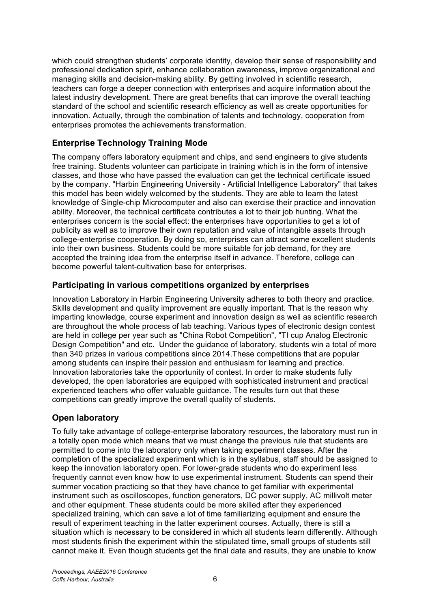which could strengthen students' corporate identity, develop their sense of responsibility and professional dedication spirit, enhance collaboration awareness, improve organizational and managing skills and decision-making ability. By getting involved in scientific research, teachers can forge a deeper connection with enterprises and acquire information about the latest industry development. There are great benefits that can improve the overall teaching standard of the school and scientific research efficiency as well as create opportunities for innovation. Actually, through the combination of talents and technology, cooperation from enterprises promotes the achievements transformation.

## **Enterprise Technology Training Mode**

The company offers laboratory equipment and chips, and send engineers to give students free training. Students volunteer can participate in training which is in the form of intensive classes, and those who have passed the evaluation can get the technical certificate issued by the company. "Harbin Engineering University - Artificial Intelligence Laboratory" that takes this model has been widely welcomed by the students. They are able to learn the latest knowledge of Single-chip Microcomputer and also can exercise their practice and innovation ability. Moreover, the technical certificate contributes a lot to their job hunting. What the enterprises concern is the social effect: the enterprises have opportunities to get a lot of publicity as well as to improve their own reputation and value of intangible assets through college-enterprise cooperation. By doing so, enterprises can attract some excellent students into their own business. Students could be more suitable for job demand, for they are accepted the training idea from the enterprise itself in advance. Therefore, college can become powerful talent-cultivation base for enterprises.

### **Participating in various competitions organized by enterprises**

Innovation Laboratory in Harbin Engineering University adheres to both theory and practice. Skills development and quality improvement are equally important. That is the reason why imparting knowledge, course experiment and innovation design as well as scientific research are throughout the whole process of lab teaching. Various types of electronic design contest are held in college per year such as "China Robot Competition", "TI cup Analog Electronic Design Competition" and etc. Under the guidance of laboratory, students win a total of more than 340 prizes in various competitions since 2014.These competitions that are popular among students can inspire their passion and enthusiasm for learning and practice. Innovation laboratories take the opportunity of contest. In order to make students fully developed, the open laboratories are equipped with sophisticated instrument and practical experienced teachers who offer valuable guidance. The results turn out that these competitions can greatly improve the overall quality of students.

## **Open laboratory**

To fully take advantage of college-enterprise laboratory resources, the laboratory must run in a totally open mode which means that we must change the previous rule that students are permitted to come into the laboratory only when taking experiment classes. After the completion of the specialized experiment which is in the syllabus, staff should be assigned to keep the innovation laboratory open. For lower-grade students who do experiment less frequently cannot even know how to use experimental instrument. Students can spend their summer vocation practicing so that they have chance to get familiar with experimental instrument such as oscilloscopes, function generators, DC power supply, AC millivolt meter and other equipment. These students could be more skilled after they experienced specialized training, which can save a lot of time familiarizing equipment and ensure the result of experiment teaching in the latter experiment courses. Actually, there is still a situation which is necessary to be considered in which all students learn differently. Although most students finish the experiment within the stipulated time, small groups of students still cannot make it. Even though students get the final data and results, they are unable to know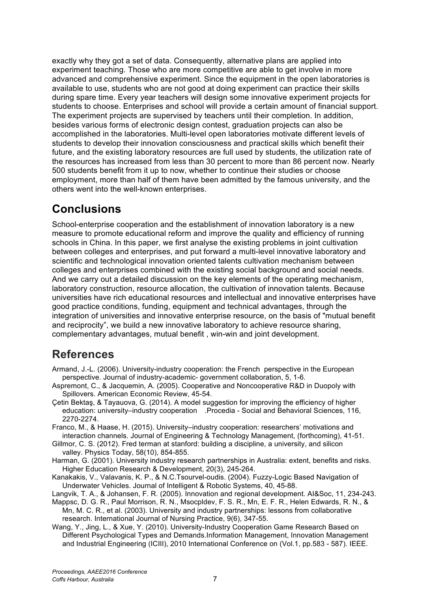exactly why they got a set of data. Consequently, alternative plans are applied into experiment teaching. Those who are more competitive are able to get involve in more advanced and comprehensive experiment. Since the equipment in the open laboratories is available to use, students who are not good at doing experiment can practice their skills during spare time. Every year teachers will design some innovative experiment projects for students to choose. Enterprises and school will provide a certain amount of financial support. The experiment projects are supervised by teachers until their completion. In addition, besides various forms of electronic design contest, graduation projects can also be accomplished in the laboratories. Multi-level open laboratories motivate different levels of students to develop their innovation consciousness and practical skills which benefit their future, and the existing laboratory resources are full used by students, the utilization rate of the resources has increased from less than 30 percent to more than 86 percent now. Nearly 500 students benefit from it up to now, whether to continue their studies or choose employment, more than half of them have been admitted by the famous university, and the others went into the well-known enterprises.

# **Conclusions**

School-enterprise cooperation and the establishment of innovation laboratory is a new measure to promote educational reform and improve the quality and efficiency of running schools in China. In this paper, we first analyse the existing problems in joint cultivation between colleges and enterprises, and put forward a multi-level innovative laboratory and scientific and technological innovation oriented talents cultivation mechanism between colleges and enterprises combined with the existing social background and social needs. And we carry out a detailed discussion on the key elements of the operating mechanism, laboratory construction, resource allocation, the cultivation of innovation talents. Because universities have rich educational resources and intellectual and innovative enterprises have good practice conditions, funding, equipment and technical advantages, through the integration of universities and innovative enterprise resource, on the basis of "mutual benefit and reciprocity", we build a new innovative laboratory to achieve resource sharing, complementary advantages, mutual benefit , win-win and joint development.

## **References**

- Armand, J.-L. (2006). University-industry cooperation: the French perspective in the European perspective. Journal of industry-academic- government collaboration, 5, 1-6.
- Aspremont, C., & Jacquemin, A. (2005). Cooperative and Noncooperative R&D in Duopoly with Spillovers. American Economic Review, 45-54.
- Çetin Bektaş, & Tayauova, G. (2014). A model suggestion for improving the efficiency of higher education: university–industry cooperation .Procedia - Social and Behavioral Sciences, 116, 2270-2274.

Franco, M., & Haase, H. (2015). University–industry cooperation: researchers' motivations and interaction channels. Journal of Engineering & Technology Management, (forthcoming), 41-51.

Gillmor, C. S. (2012). Fred terman at stanford: building a discipline, a university, and silicon valley. Physics Today, 58(10), 854-855.

Harman, G. (2001). University industry research partnerships in Australia: extent, benefits and risks. Higher Education Research & Development, 20(3), 245-264.

Kanakakis, V., Valavanis, K. P., & N.C.Tsourvel-oudis. (2004). Fuzzy-Logic Based Navigation of Underwater Vehicles. Journal of Intelligent & Robotic Systems, 40, 45-88.

Langvik, T. A., & Johansen, F. R. (2005). Innovation and regional development. AI&Soc, 11, 234-243.

- Mappsc, D. G. R., Paul Morrison, R. N., Msocpldev, F. S. R., Mn, E. F. R., Helen Edwards, R. N., & Mn, M. C. R., et al. (2003). University and industry partnerships: lessons from collaborative research. International Journal of Nursing Practice, 9(6), 347-55.
- Wang, Y., Jing, L., & Xue, Y. (2010). University-Industry Cooperation Game Research Based on Different Psychological Types and Demands.Information Management, Innovation Management and Industrial Engineering (ICIII), 2010 International Conference on (Vol.1, pp.583 - 587). IEEE.